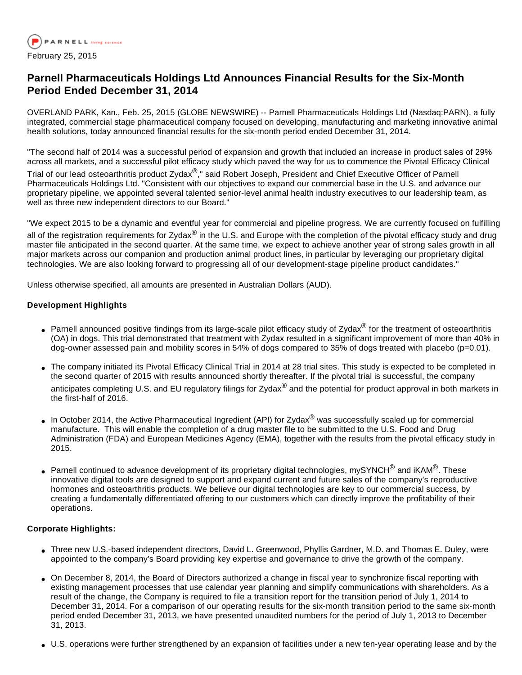

# **Parnell Pharmaceuticals Holdings Ltd Announces Financial Results for the Six-Month Period Ended December 31, 2014**

OVERLAND PARK, Kan., Feb. 25, 2015 (GLOBE NEWSWIRE) -- Parnell Pharmaceuticals Holdings Ltd (Nasdaq:PARN), a fully integrated, commercial stage pharmaceutical company focused on developing, manufacturing and marketing innovative animal health solutions, today announced financial results for the six-month period ended December 31, 2014.

"The second half of 2014 was a successful period of expansion and growth that included an increase in product sales of 29% across all markets, and a successful pilot efficacy study which paved the way for us to commence the Pivotal Efficacy Clinical

Trial of our lead osteoarthritis product Zydax<sup>®</sup>," said Robert Joseph, President and Chief Executive Officer of Parnell Pharmaceuticals Holdings Ltd. "Consistent with our objectives to expand our commercial base in the U.S. and advance our proprietary pipeline, we appointed several talented senior-level animal health industry executives to our leadership team, as well as three new independent directors to our Board."

"We expect 2015 to be a dynamic and eventful year for commercial and pipeline progress. We are currently focused on fulfilling all of the registration requirements for Zydax<sup>®</sup> in the U.S. and Europe with the completion of the pivotal efficacy study and drug master file anticipated in the second quarter. At the same time, we expect to achieve another year of strong sales growth in all major markets across our companion and production animal product lines, in particular by leveraging our proprietary digital technologies. We are also looking forward to progressing all of our development-stage pipeline product candidates."

Unless otherwise specified, all amounts are presented in Australian Dollars (AUD).

# **Development Highlights**

- Parnell announced positive findings from its large-scale pilot efficacy study of Zydax<sup>®</sup> for the treatment of osteoarthritis (OA) in dogs. This trial demonstrated that treatment with Zydax resulted in a significant improvement of more than 40% in dog-owner assessed pain and mobility scores in 54% of dogs compared to 35% of dogs treated with placebo (p=0.01).
- The company initiated its Pivotal Efficacy Clinical Trial in 2014 at 28 trial sites. This study is expected to be completed in the second quarter of 2015 with results announced shortly thereafter. If the pivotal trial is successful, the company anticipates completing U.S. and EU regulatory filings for Zydax<sup>®</sup> and the potential for product approval in both markets in the first-half of 2016.
- In October 2014, the Active Pharmaceutical Ingredient (API) for Zydax<sup>®</sup> was successfully scaled up for commercial manufacture. This will enable the completion of a drug master file to be submitted to the U.S. Food and Drug Administration (FDA) and European Medicines Agency (EMA), together with the results from the pivotal efficacy study in 2015.
- Parnell continued to advance development of its proprietary digital technologies, mySYNCH® and iKAM<sup>®</sup>. These innovative digital tools are designed to support and expand current and future sales of the company's reproductive hormones and osteoarthritis products. We believe our digital technologies are key to our commercial success, by creating a fundamentally differentiated offering to our customers which can directly improve the profitability of their operations.

## **Corporate Highlights:**

- Three new U.S.-based independent directors, David L. Greenwood, Phyllis Gardner, M.D. and Thomas E. Duley, were appointed to the company's Board providing key expertise and governance to drive the growth of the company.
- On December 8, 2014, the Board of Directors authorized a change in fiscal year to synchronize fiscal reporting with existing management processes that use calendar year planning and simplify communications with shareholders. As a result of the change, the Company is required to file a transition report for the transition period of July 1, 2014 to December 31, 2014. For a comparison of our operating results for the six-month transition period to the same six-month period ended December 31, 2013, we have presented unaudited numbers for the period of July 1, 2013 to December 31, 2013.
- U.S. operations were further strengthened by an expansion of facilities under a new ten-year operating lease and by the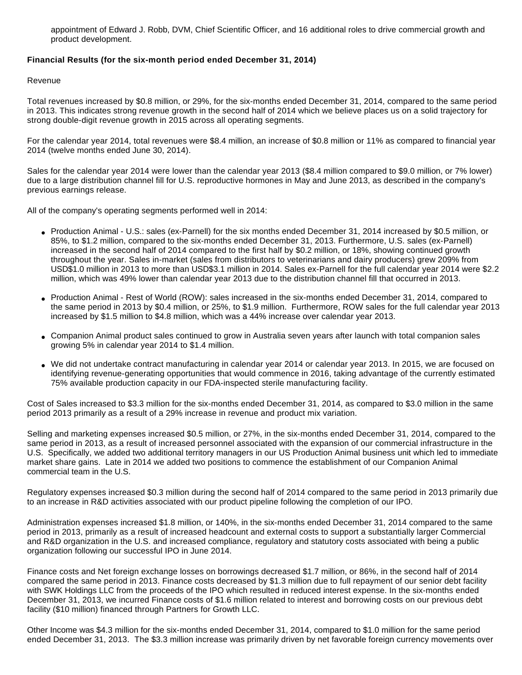appointment of Edward J. Robb, DVM, Chief Scientific Officer, and 16 additional roles to drive commercial growth and product development.

## **Financial Results (for the six-month period ended December 31, 2014)**

#### Revenue

Total revenues increased by \$0.8 million, or 29%, for the six-months ended December 31, 2014, compared to the same period in 2013. This indicates strong revenue growth in the second half of 2014 which we believe places us on a solid trajectory for strong double-digit revenue growth in 2015 across all operating segments.

For the calendar year 2014, total revenues were \$8.4 million, an increase of \$0.8 million or 11% as compared to financial year 2014 (twelve months ended June 30, 2014).

Sales for the calendar year 2014 were lower than the calendar year 2013 (\$8.4 million compared to \$9.0 million, or 7% lower) due to a large distribution channel fill for U.S. reproductive hormones in May and June 2013, as described in the company's previous earnings release.

All of the company's operating segments performed well in 2014:

- Production Animal U.S.: sales (ex-Parnell) for the six months ended December 31, 2014 increased by \$0.5 million, or 85%, to \$1.2 million, compared to the six-months ended December 31, 2013. Furthermore, U.S. sales (ex-Parnell) increased in the second half of 2014 compared to the first half by \$0.2 million, or 18%, showing continued growth throughout the year. Sales in-market (sales from distributors to veterinarians and dairy producers) grew 209% from USD\$1.0 million in 2013 to more than USD\$3.1 million in 2014. Sales ex-Parnell for the full calendar year 2014 were \$2.2 million, which was 49% lower than calendar year 2013 due to the distribution channel fill that occurred in 2013.
- Production Animal Rest of World (ROW): sales increased in the six-months ended December 31, 2014, compared to the same period in 2013 by \$0.4 million, or 25%, to \$1.9 million. Furthermore, ROW sales for the full calendar year 2013 increased by \$1.5 million to \$4.8 million, which was a 44% increase over calendar year 2013.
- Companion Animal product sales continued to grow in Australia seven years after launch with total companion sales growing 5% in calendar year 2014 to \$1.4 million.
- We did not undertake contract manufacturing in calendar year 2014 or calendar year 2013. In 2015, we are focused on identifying revenue-generating opportunities that would commence in 2016, taking advantage of the currently estimated 75% available production capacity in our FDA-inspected sterile manufacturing facility.

Cost of Sales increased to \$3.3 million for the six-months ended December 31, 2014, as compared to \$3.0 million in the same period 2013 primarily as a result of a 29% increase in revenue and product mix variation.

Selling and marketing expenses increased \$0.5 million, or 27%, in the six-months ended December 31, 2014, compared to the same period in 2013, as a result of increased personnel associated with the expansion of our commercial infrastructure in the U.S. Specifically, we added two additional territory managers in our US Production Animal business unit which led to immediate market share gains. Late in 2014 we added two positions to commence the establishment of our Companion Animal commercial team in the U.S.

Regulatory expenses increased \$0.3 million during the second half of 2014 compared to the same period in 2013 primarily due to an increase in R&D activities associated with our product pipeline following the completion of our IPO.

Administration expenses increased \$1.8 million, or 140%, in the six-months ended December 31, 2014 compared to the same period in 2013, primarily as a result of increased headcount and external costs to support a substantially larger Commercial and R&D organization in the U.S. and increased compliance, regulatory and statutory costs associated with being a public organization following our successful IPO in June 2014.

Finance costs and Net foreign exchange losses on borrowings decreased \$1.7 million, or 86%, in the second half of 2014 compared the same period in 2013. Finance costs decreased by \$1.3 million due to full repayment of our senior debt facility with SWK Holdings LLC from the proceeds of the IPO which resulted in reduced interest expense. In the six-months ended December 31, 2013, we incurred Finance costs of \$1.6 million related to interest and borrowing costs on our previous debt facility (\$10 million) financed through Partners for Growth LLC.

Other Income was \$4.3 million for the six-months ended December 31, 2014, compared to \$1.0 million for the same period ended December 31, 2013. The \$3.3 million increase was primarily driven by net favorable foreign currency movements over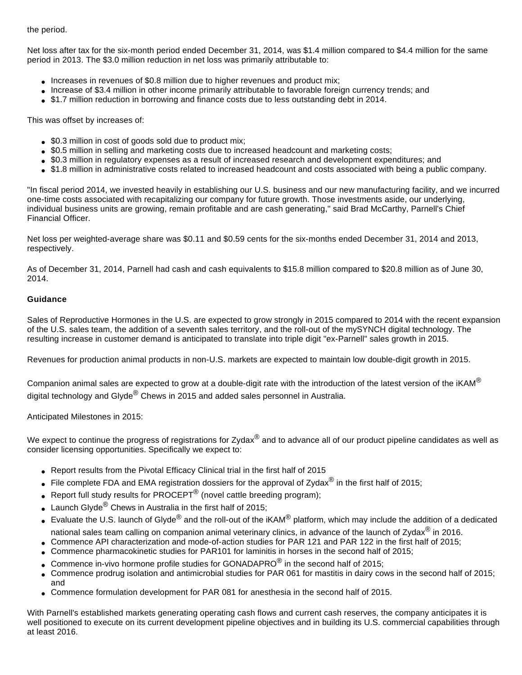the period.

Net loss after tax for the six-month period ended December 31, 2014, was \$1.4 million compared to \$4.4 million for the same period in 2013. The \$3.0 million reduction in net loss was primarily attributable to:

- Increases in revenues of \$0.8 million due to higher revenues and product mix;
- Increase of \$3.4 million in other income primarily attributable to favorable foreign currency trends; and
- \$1.7 million reduction in borrowing and finance costs due to less outstanding debt in 2014.

This was offset by increases of:

- \$0.3 million in cost of goods sold due to product mix;
- \$0.5 million in selling and marketing costs due to increased headcount and marketing costs;
- \$0.3 million in regulatory expenses as a result of increased research and development expenditures; and
- \$1.8 million in administrative costs related to increased headcount and costs associated with being a public company.

"In fiscal period 2014, we invested heavily in establishing our U.S. business and our new manufacturing facility, and we incurred one-time costs associated with recapitalizing our company for future growth. Those investments aside, our underlying, individual business units are growing, remain profitable and are cash generating," said Brad McCarthy, Parnell's Chief Financial Officer.

Net loss per weighted-average share was \$0.11 and \$0.59 cents for the six-months ended December 31, 2014 and 2013, respectively.

As of December 31, 2014, Parnell had cash and cash equivalents to \$15.8 million compared to \$20.8 million as of June 30, 2014.

# **Guidance**

Sales of Reproductive Hormones in the U.S. are expected to grow strongly in 2015 compared to 2014 with the recent expansion of the U.S. sales team, the addition of a seventh sales territory, and the roll-out of the mySYNCH digital technology. The resulting increase in customer demand is anticipated to translate into triple digit "ex-Parnell" sales growth in 2015.

Revenues for production animal products in non-U.S. markets are expected to maintain low double-digit growth in 2015.

Companion animal sales are expected to grow at a double-digit rate with the introduction of the latest version of the  $iKAM^{\circledcirc}$ digital technology and Glyde<sup>®</sup> Chews in 2015 and added sales personnel in Australia.

Anticipated Milestones in 2015:

We expect to continue the progress of registrations for Zydax $^{\circledR}$  and to advance all of our product pipeline candidates as well as consider licensing opportunities. Specifically we expect to:

- Report results from the Pivotal Efficacy Clinical trial in the first half of 2015
- File complete FDA and EMA registration dossiers for the approval of Zydax<sup>®</sup> in the first half of 2015;
- Report full study results for PROCEPT<sup>®</sup> (novel cattle breeding program);
- Launch Glyde $^{\circledR}$  Chews in Australia in the first half of 2015;
- Evaluate the U.S. launch of Glyde<sup>®</sup> and the roll-out of the iKAM<sup>®</sup> platform, which may include the addition of a dedicated national sales team calling on companion animal veterinary clinics, in advance of the launch of Zydax® in 2016.
- Commence API characterization and mode-of-action studies for PAR 121 and PAR 122 in the first half of 2015;
- Commence pharmacokinetic studies for PAR101 for laminitis in horses in the second half of 2015;
- Commence in-vivo hormone profile studies for GONADAPRO $^{\circledR}$  in the second half of 2015;
- Commence prodrug isolation and antimicrobial studies for PAR 061 for mastitis in dairy cows in the second half of 2015; and
- Commence formulation development for PAR 081 for anesthesia in the second half of 2015.

With Parnell's established markets generating operating cash flows and current cash reserves, the company anticipates it is well positioned to execute on its current development pipeline objectives and in building its U.S. commercial capabilities through at least 2016.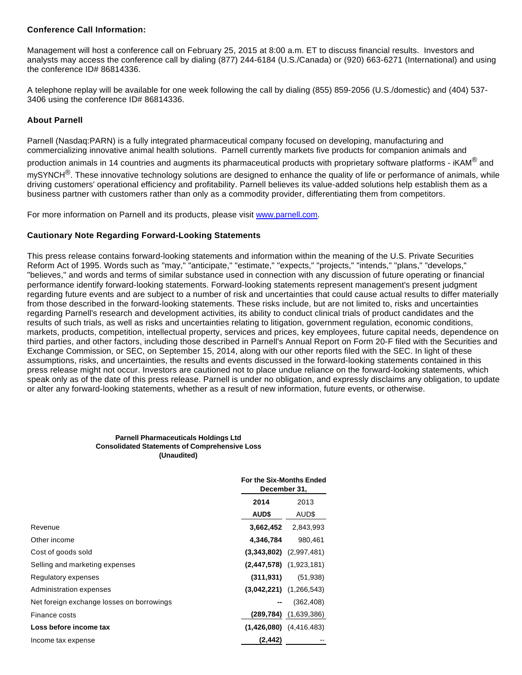## **Conference Call Information:**

Management will host a conference call on February 25, 2015 at 8:00 a.m. ET to discuss financial results. Investors and analysts may access the conference call by dialing (877) 244-6184 (U.S./Canada) or (920) 663-6271 (International) and using the conference ID# 86814336.

A telephone replay will be available for one week following the call by dialing (855) 859-2056 (U.S./domestic) and (404) 537- 3406 using the conference ID# 86814336.

## **About Parnell**

Parnell (Nasdaq:PARN) is a fully integrated pharmaceutical company focused on developing, manufacturing and commercializing innovative animal health solutions. Parnell currently markets five products for companion animals and

production animals in 14 countries and augments its pharmaceutical products with proprietary software platforms - iKAM® and

 $mv$ SYNCH<sup>®</sup>. These innovative technology solutions are designed to enhance the quality of life or performance of animals, while driving customers' operational efficiency and profitability. Parnell believes its value-added solutions help establish them as a business partner with customers rather than only as a commodity provider, differentiating them from competitors.

For more information on Parnell and its products, please visit [www.parnell.com.](http://www.globenewswire.com/newsroom/ctr?d=10121310&l=36&a=www.parnell.com&u=http%3A%2F%2Fwww.parnell.com%2F)

# **Cautionary Note Regarding Forward-Looking Statements**

This press release contains forward-looking statements and information within the meaning of the U.S. Private Securities Reform Act of 1995. Words such as "may," "anticipate," "estimate," "expects," "projects," "intends," "plans," "develops," "believes," and words and terms of similar substance used in connection with any discussion of future operating or financial performance identify forward-looking statements. Forward-looking statements represent management's present judgment regarding future events and are subject to a number of risk and uncertainties that could cause actual results to differ materially from those described in the forward-looking statements. These risks include, but are not limited to, risks and uncertainties regarding Parnell's research and development activities, its ability to conduct clinical trials of product candidates and the results of such trials, as well as risks and uncertainties relating to litigation, government regulation, economic conditions, markets, products, competition, intellectual property, services and prices, key employees, future capital needs, dependence on third parties, and other factors, including those described in Parnell's Annual Report on Form 20-F filed with the Securities and Exchange Commission, or SEC, on September 15, 2014, along with our other reports filed with the SEC. In light of these assumptions, risks, and uncertainties, the results and events discussed in the forward-looking statements contained in this press release might not occur. Investors are cautioned not to place undue reliance on the forward-looking statements, which speak only as of the date of this press release. Parnell is under no obligation, and expressly disclaims any obligation, to update or alter any forward-looking statements, whether as a result of new information, future events, or otherwise.

#### **Parnell Pharmaceuticals Holdings Ltd Consolidated Statements of Comprehensive Loss (Unaudited)**

|                                           | For the Six-Months Ended<br>December 31, |                             |
|-------------------------------------------|------------------------------------------|-----------------------------|
|                                           | 2014                                     | 2013                        |
|                                           | <b>AUDS</b>                              | AUD\$                       |
| Revenue                                   | 3,662,452                                | 2,843,993                   |
| Other income                              | 4,346,784                                | 980,461                     |
| Cost of goods sold                        |                                          | $(3,343,802)$ $(2,997,481)$ |
| Selling and marketing expenses            |                                          | $(2,447,578)$ $(1,923,181)$ |
| Regulatory expenses                       | (311,931)                                | (51, 938)                   |
| Administration expenses                   |                                          | $(3,042,221)$ $(1,266,543)$ |
| Net foreign exchange losses on borrowings |                                          | (362, 408)                  |
| Finance costs                             | (289,784)                                | (1,639,386)                 |
| Loss before income tax                    |                                          | $(1,426,080)$ $(4,416.483)$ |
| Income tax expense                        | (2,442)                                  |                             |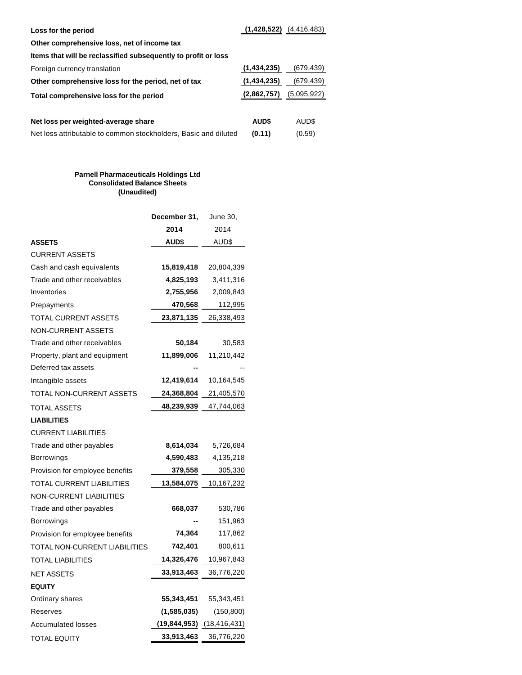| Loss for the period                                             | (1,428,522) | (4, 416, 483) |
|-----------------------------------------------------------------|-------------|---------------|
| Other comprehensive loss, net of income tax                     |             |               |
| Items that will be reclassified subsequently to profit or loss  |             |               |
| Foreign currency translation                                    | (1,434,235) | (679,439)     |
| Other comprehensive loss for the period, net of tax             | (1,434,235) | (679,439)     |
| Total comprehensive loss for the period                         | (2,862,757) | (5,095,922)   |
|                                                                 |             |               |
| Net loss per weighted-average share                             | <b>AUDS</b> | AUD\$         |
| Net loss attributable to common stockholders, Basic and diluted | (0.11)      | (0.59)        |

#### **Parnell Pharmaceuticals Holdings Ltd Consolidated Balance Sheets (Unaudited)**

|                                 | December 31, | June 30,                          |
|---------------------------------|--------------|-----------------------------------|
|                                 | 2014         | 2014                              |
| <b>ASSETS</b>                   | AUD\$        | AUD\$                             |
| <b>CURRENT ASSETS</b>           |              |                                   |
| Cash and cash equivalents       | 15,819,418   | 20,804,339                        |
| Trade and other receivables     | 4,825,193    | 3,411,316                         |
| Inventories                     | 2,755,956    | 2,009,843                         |
| Prepayments                     | 470,568      | 112,995                           |
| <b>TOTAL CURRENT ASSETS</b>     | 23,871,135   | 26,338,493                        |
| <b>NON-CURRENT ASSETS</b>       |              |                                   |
| Trade and other receivables     | 50,184       | 30,583                            |
| Property, plant and equipment   | 11,899,006   | 11,210,442                        |
| Deferred tax assets             |              |                                   |
| Intangible assets               | 12,419,614   | 10,164,545                        |
| TOTAL NON-CURRENT ASSETS        | 24,368,804   | 21,405,570                        |
| TOTAL ASSETS                    | 48,239,939   | 47,744,063                        |
| <b>LIABILITIES</b>              |              |                                   |
| <b>CURRENT LIABILITIES</b>      |              |                                   |
| Trade and other payables        | 8,614,034    | 5,726,684                         |
| Borrowings                      | 4,590,483    | 4,135,218                         |
| Provision for employee benefits | 379,558      | 305,330                           |
| TOTAL CURRENT LIABILITIES       | 13,584,075   | 10,167,232                        |
| NON-CURRENT LIABILITIES         |              |                                   |
| Trade and other payables        | 668,037      | 530,786                           |
| Borrowings                      |              | 151,963                           |
| Provision for employee benefits | 74,364       | 117,862                           |
| TOTAL NON-CURRENT LIABILITIES   | 742,401      | 800,611                           |
| TOTAL LIABILITIES               | 14,326,476   | 10,967,843                        |
| <b>NET ASSETS</b>               | 33,913,463   | 36,776,220                        |
| <b>EQUITY</b>                   |              |                                   |
| Ordinary shares                 | 55,343,451   | 55,343,451                        |
| Reserves                        | (1,585,035)  | (150, 800)                        |
| <b>Accumulated losses</b>       |              | $(19, 844, 953)$ $(18, 416, 431)$ |
| <b>TOTAL EQUITY</b>             | 33,913,463   | 36,776,220                        |